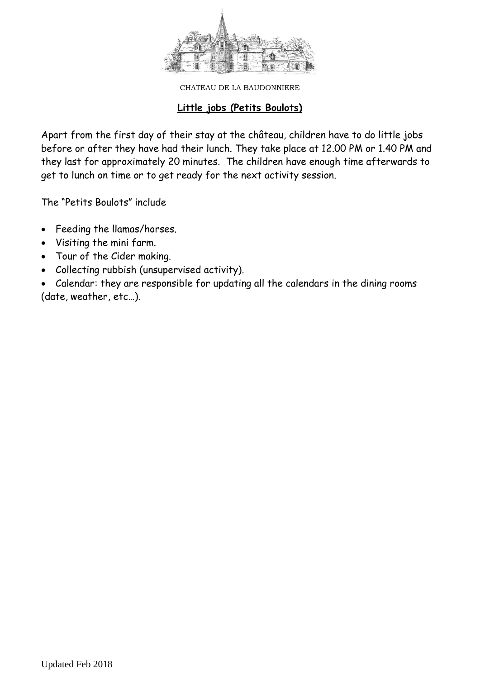

### **Little jobs (Petits Boulots)**

Apart from the first day of their stay at the château, children have to do little jobs before or after they have had their lunch. They take place at 12.00 PM or 1.40 PM and they last for approximately 20 minutes. The children have enough time afterwards to get to lunch on time or to get ready for the next activity session.

The "Petits Boulots" include

- Feeding the llamas/horses.
- Visiting the mini farm.
- Tour of the Cider making.
- Collecting rubbish (unsupervised activity).

 Calendar: they are responsible for updating all the calendars in the dining rooms (date, weather, etc…).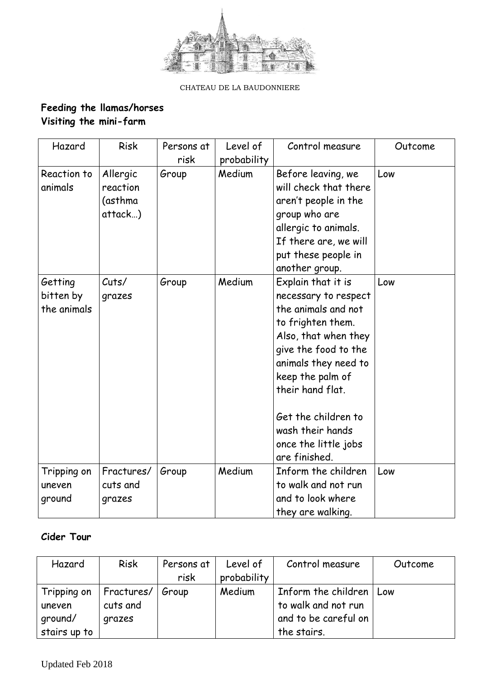

## **Feeding the llamas/horses Visiting the mini-farm**

| Hazard                              | <b>Risk</b>                                | Persons at<br>risk | Level of<br>probability | Control measure                                                                                                                                                                                                                                                                            | Outcome |
|-------------------------------------|--------------------------------------------|--------------------|-------------------------|--------------------------------------------------------------------------------------------------------------------------------------------------------------------------------------------------------------------------------------------------------------------------------------------|---------|
| Reaction to<br>animals              | Allergic<br>reaction<br>(asthma<br>attack) | Group              | Medium                  | Before leaving, we<br>will check that there<br>aren't people in the<br>group who are<br>allergic to animals.<br>If there are, we will<br>put these people in<br>another group.                                                                                                             | Low     |
| Getting<br>bitten by<br>the animals | Cuts/<br>grazes                            | Group              | Medium                  | Explain that it is<br>necessary to respect<br>the animals and not<br>to frighten them.<br>Also, that when they<br>give the food to the<br>animals they need to<br>keep the palm of<br>their hand flat.<br>Get the children to<br>wash their hands<br>once the little jobs<br>are finished. | Low     |
| Tripping on<br>uneven<br>ground     | Fractures/<br>cuts and<br>grazes           | Group              | Medium                  | Inform the children<br>to walk and not run<br>and to look where<br>they are walking.                                                                                                                                                                                                       | Low     |

### **Cider Tour**

| Hazard       | <b>Risk</b>       | Persons at | Level of    | Control measure           | Outcome |
|--------------|-------------------|------------|-------------|---------------------------|---------|
|              |                   | risk       | probability |                           |         |
| Tripping on  | $\mid$ Fractures/ | Group      | Medium      | Inform the children   Low |         |
| uneven       | cuts and          |            |             | to walk and not run       |         |
| ground/      | grazes            |            |             | and to be careful on      |         |
| stairs up to |                   |            |             | the stairs.               |         |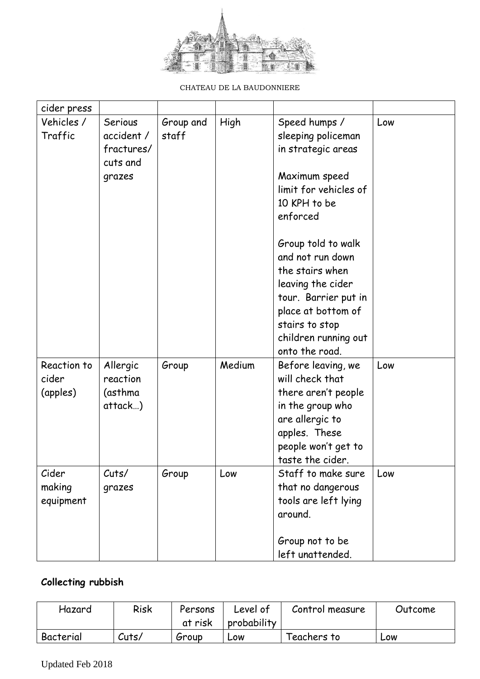

| cider press                      |                                                 |                    |        |                                                                                                                                                                                          |     |
|----------------------------------|-------------------------------------------------|--------------------|--------|------------------------------------------------------------------------------------------------------------------------------------------------------------------------------------------|-----|
| Vehicles /<br>Traffic            | Serious<br>accident /<br>fractures/<br>cuts and | Group and<br>staff | High   | Speed humps /<br>sleeping policeman<br>in strategic areas                                                                                                                                | Low |
|                                  | grazes                                          |                    |        | Maximum speed<br>limit for vehicles of<br>10 KPH to be<br>enforced                                                                                                                       |     |
|                                  |                                                 |                    |        | Group told to walk<br>and not run down<br>the stairs when<br>leaving the cider<br>tour. Barrier put in<br>place at bottom of<br>stairs to stop<br>children running out<br>onto the road. |     |
| Reaction to<br>cider<br>(apples) | Allergic<br>reaction<br>(asthma<br>attack)      | Group              | Medium | Before leaving, we<br>will check that<br>there aren't people<br>in the group who<br>are allergic to<br>apples. These<br>people won't get to<br>taste the cider.                          | Low |
| Cider<br>making<br>equipment     | Cuts/<br>grazes                                 | Group              | Low    | Staff to make sure<br>that no dangerous<br>tools are left lying<br>around.<br>Group not to be<br>left unattended.                                                                        | Low |

# **Collecting rubbish**

| Hazard    | Risk  | Persons | Level of    | Control measure | Outcome |
|-----------|-------|---------|-------------|-----------------|---------|
|           |       | at risk | probability |                 |         |
| Bacterial | Cuts/ | Group   | LOW         | Teachers to     | LOW     |